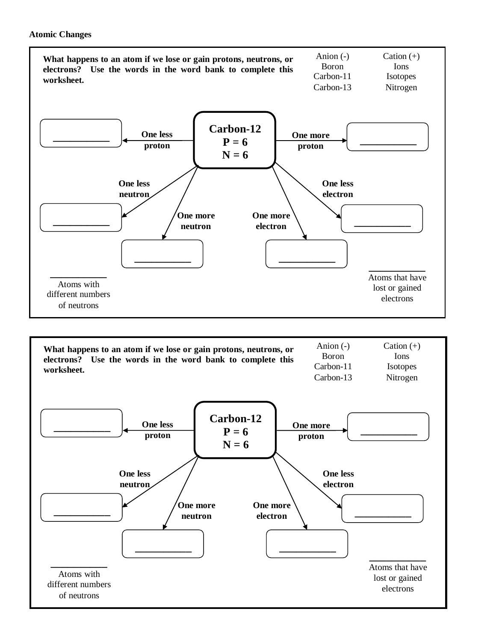